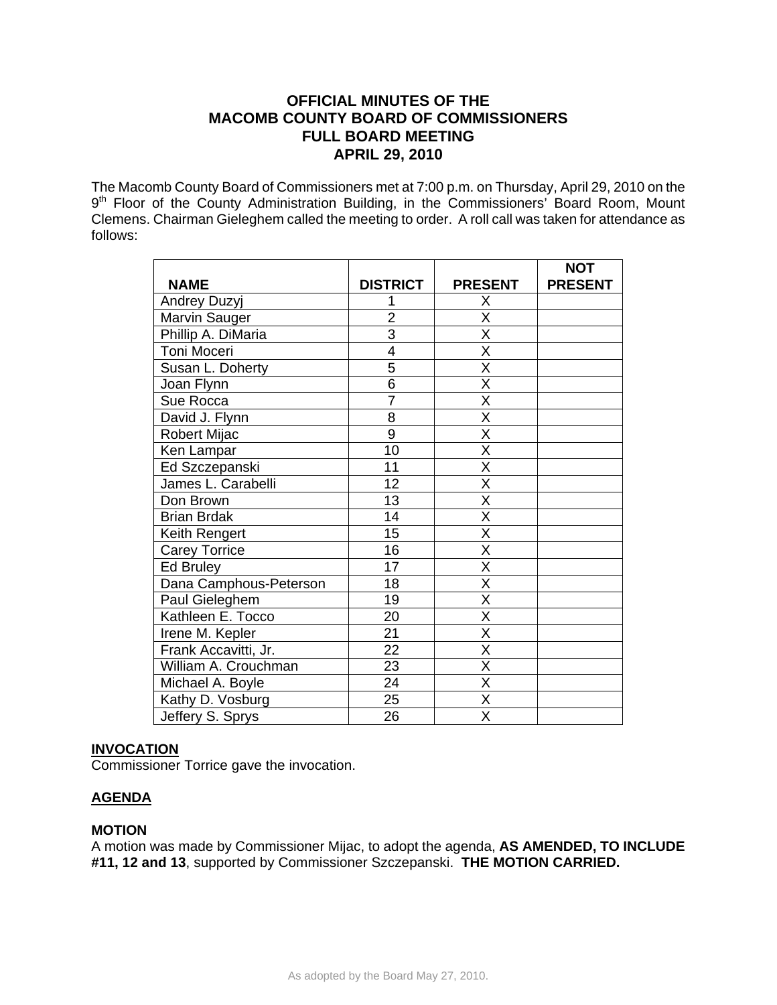# **OFFICIAL MINUTES OF THE MACOMB COUNTY BOARD OF COMMISSIONERS FULL BOARD MEETING APRIL 29, 2010**

The Macomb County Board of Commissioners met at 7:00 p.m. on Thursday, April 29, 2010 on the 9<sup>th</sup> Floor of the County Administration Building, in the Commissioners' Board Room, Mount Clemens. Chairman Gieleghem called the meeting to order. A roll call was taken for attendance as follows:

|                        |                 |                         | <b>NOT</b>     |
|------------------------|-----------------|-------------------------|----------------|
| <b>NAME</b>            | <b>DISTRICT</b> | <b>PRESENT</b>          | <b>PRESENT</b> |
| Andrey Duzyj           |                 | Χ                       |                |
| Marvin Sauger          | $\overline{2}$  | X                       |                |
| Phillip A. DiMaria     | $\overline{3}$  | $\overline{\mathsf{X}}$ |                |
| Toni Moceri            | 4               | $\overline{\mathsf{x}}$ |                |
| Susan L. Doherty       | 5               | X                       |                |
| Joan Flynn             | $\overline{6}$  | $\overline{\mathsf{x}}$ |                |
| Sue Rocca              | $\overline{7}$  | $\overline{\mathsf{x}}$ |                |
| David J. Flynn         | 8               | X                       |                |
| Robert Mijac           | 9               | $\overline{\mathsf{x}}$ |                |
| Ken Lampar             | 10              | $\overline{\mathsf{x}}$ |                |
| Ed Szczepanski         | 11              | X                       |                |
| James L. Carabelli     | 12              | $\overline{\mathsf{x}}$ |                |
| Don Brown              | 13              | $\overline{\mathsf{x}}$ |                |
| <b>Brian Brdak</b>     | 14              | X                       |                |
| Keith Rengert          | 15              | $\overline{\mathsf{x}}$ |                |
| <b>Carey Torrice</b>   | 16              | X                       |                |
| Ed Bruley              | 17              | $\overline{\mathsf{x}}$ |                |
| Dana Camphous-Peterson | 18              | $\overline{\mathsf{x}}$ |                |
| Paul Gieleghem         | 19              | $\overline{\mathsf{x}}$ |                |
| Kathleen E. Tocco      | 20              | X                       |                |
| Irene M. Kepler        | 21              | X                       |                |
| Frank Accavitti, Jr.   | $\overline{22}$ | $\overline{\mathsf{x}}$ |                |
| William A. Crouchman   | 23              | $\overline{\mathsf{x}}$ |                |
| Michael A. Boyle       | 24              | Χ                       |                |
| Kathy D. Vosburg       | 25              | $\overline{\mathsf{x}}$ |                |
| Jeffery S. Sprys       | 26              | $\overline{\mathsf{x}}$ |                |

# **INVOCATION**

Commissioner Torrice gave the invocation.

# **AGENDA**

# **MOTION**

A motion was made by Commissioner Mijac, to adopt the agenda, **AS AMENDED, TO INCLUDE #11, 12 and 13**, supported by Commissioner Szczepanski. **THE MOTION CARRIED.**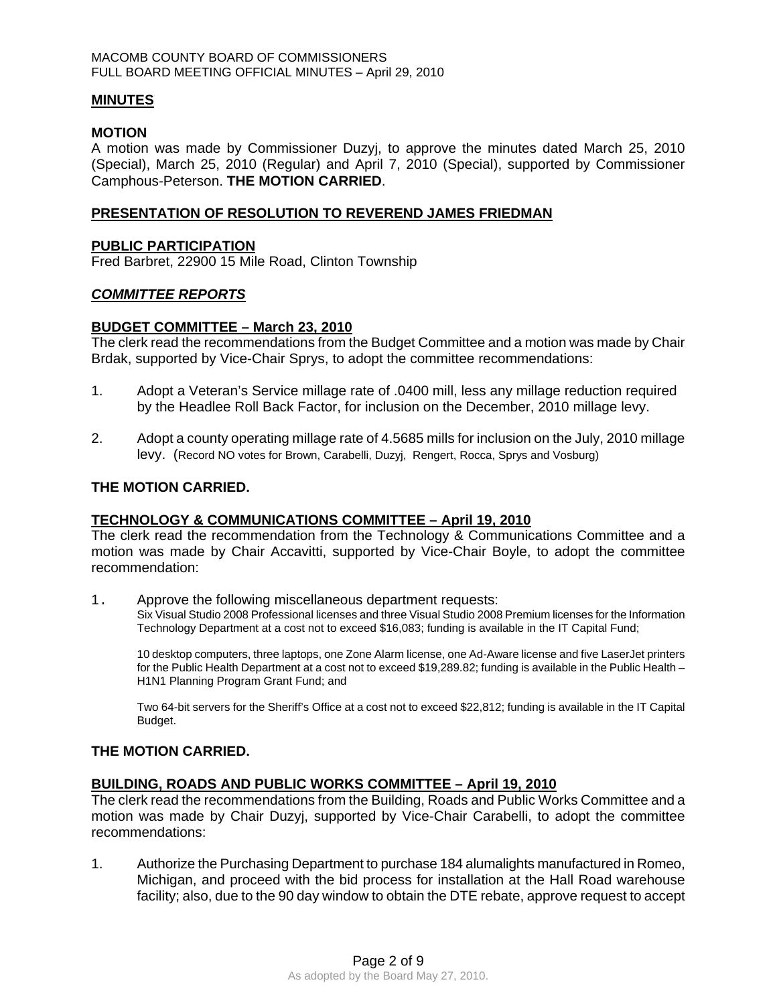## **MINUTES**

#### **MOTION**

A motion was made by Commissioner Duzyj, to approve the minutes dated March 25, 2010 (Special), March 25, 2010 (Regular) and April 7, 2010 (Special), supported by Commissioner Camphous-Peterson. **THE MOTION CARRIED**.

## **PRESENTATION OF RESOLUTION TO REVEREND JAMES FRIEDMAN**

#### **PUBLIC PARTICIPATION**

Fred Barbret, 22900 15 Mile Road, Clinton Township

## *COMMITTEE REPORTS*

## **BUDGET COMMITTEE – March 23, 2010**

The clerk read the recommendations from the Budget Committee and a motion was made by Chair Brdak, supported by Vice-Chair Sprys, to adopt the committee recommendations:

- 1. Adopt a Veteran's Service millage rate of .0400 mill, less any millage reduction required by the Headlee Roll Back Factor, for inclusion on the December, 2010 millage levy.
- 2. Adopt a county operating millage rate of 4.5685 mills for inclusion on the July, 2010 millage levy. (Record NO votes for Brown, Carabelli, Duzyj, Rengert, Rocca, Sprys and Vosburg)

## **THE MOTION CARRIED.**

#### **TECHNOLOGY & COMMUNICATIONS COMMITTEE – April 19, 2010**

The clerk read the recommendation from the Technology & Communications Committee and a motion was made by Chair Accavitti, supported by Vice-Chair Boyle, to adopt the committee recommendation:

1. Approve the following miscellaneous department requests: Six Visual Studio 2008 Professional licenses and three Visual Studio 2008 Premium licenses for the Information Technology Department at a cost not to exceed \$16,083; funding is available in the IT Capital Fund;

10 desktop computers, three laptops, one Zone Alarm license, one Ad-Aware license and five LaserJet printers for the Public Health Department at a cost not to exceed \$19,289.82; funding is available in the Public Health – H1N1 Planning Program Grant Fund; and

Two 64-bit servers for the Sheriff's Office at a cost not to exceed \$22,812; funding is available in the IT Capital Budget.

#### **THE MOTION CARRIED.**

#### **BUILDING, ROADS AND PUBLIC WORKS COMMITTEE – April 19, 2010**

The clerk read the recommendations from the Building, Roads and Public Works Committee and a motion was made by Chair Duzyj, supported by Vice-Chair Carabelli, to adopt the committee recommendations:

1. Authorize the Purchasing Department to purchase 184 alumalights manufactured in Romeo, Michigan, and proceed with the bid process for installation at the Hall Road warehouse facility; also, due to the 90 day window to obtain the DTE rebate, approve request to accept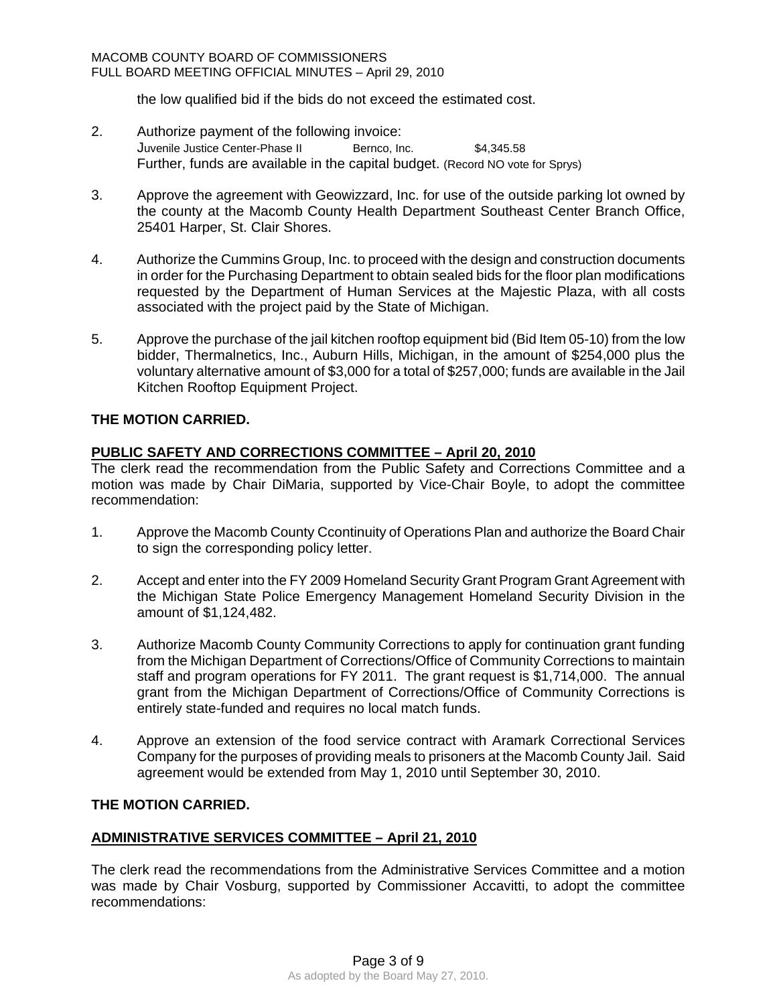the low qualified bid if the bids do not exceed the estimated cost.

- 2. Authorize payment of the following invoice: Juvenile Justice Center-Phase II Bernco, Inc. \$4,345.58 Further, funds are available in the capital budget. (Record NO vote for Sprys)
- 3. Approve the agreement with Geowizzard, Inc. for use of the outside parking lot owned by the county at the Macomb County Health Department Southeast Center Branch Office, 25401 Harper, St. Clair Shores.
- 4. Authorize the Cummins Group, Inc. to proceed with the design and construction documents in order for the Purchasing Department to obtain sealed bids for the floor plan modifications requested by the Department of Human Services at the Majestic Plaza, with all costs associated with the project paid by the State of Michigan.
- 5. Approve the purchase of the jail kitchen rooftop equipment bid (Bid Item 05-10) from the low bidder, Thermalnetics, Inc., Auburn Hills, Michigan, in the amount of \$254,000 plus the voluntary alternative amount of \$3,000 for a total of \$257,000; funds are available in the Jail Kitchen Rooftop Equipment Project.

# **THE MOTION CARRIED.**

# **PUBLIC SAFETY AND CORRECTIONS COMMITTEE – April 20, 2010**

The clerk read the recommendation from the Public Safety and Corrections Committee and a motion was made by Chair DiMaria, supported by Vice-Chair Boyle, to adopt the committee recommendation:

- 1. Approve the Macomb County Ccontinuity of Operations Plan and authorize the Board Chair to sign the corresponding policy letter.
- 2. Accept and enter into the FY 2009 Homeland Security Grant Program Grant Agreement with the Michigan State Police Emergency Management Homeland Security Division in the amount of \$1,124,482.
- 3. Authorize Macomb County Community Corrections to apply for continuation grant funding from the Michigan Department of Corrections/Office of Community Corrections to maintain staff and program operations for FY 2011. The grant request is \$1,714,000. The annual grant from the Michigan Department of Corrections/Office of Community Corrections is entirely state-funded and requires no local match funds.
- 4. Approve an extension of the food service contract with Aramark Correctional Services Company for the purposes of providing meals to prisoners at the Macomb County Jail. Said agreement would be extended from May 1, 2010 until September 30, 2010.

# **THE MOTION CARRIED.**

# **ADMINISTRATIVE SERVICES COMMITTEE – April 21, 2010**

The clerk read the recommendations from the Administrative Services Committee and a motion was made by Chair Vosburg, supported by Commissioner Accavitti, to adopt the committee recommendations: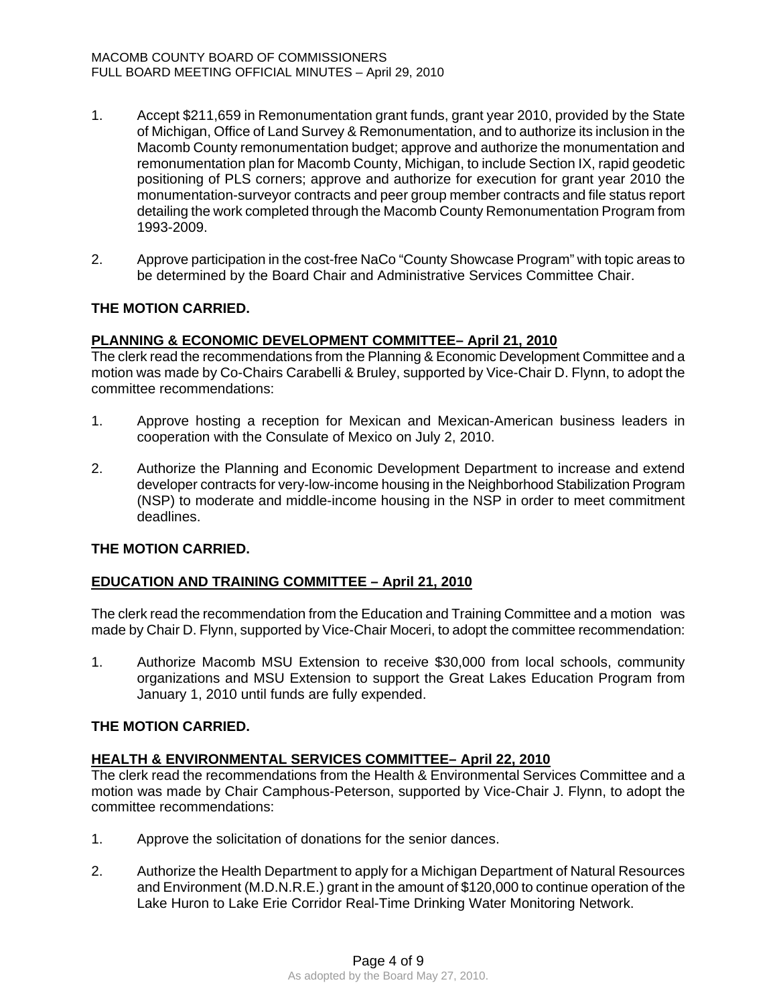- 1. Accept \$211,659 in Remonumentation grant funds, grant year 2010, provided by the State of Michigan, Office of Land Survey & Remonumentation, and to authorize its inclusion in the Macomb County remonumentation budget; approve and authorize the monumentation and remonumentation plan for Macomb County, Michigan, to include Section IX, rapid geodetic positioning of PLS corners; approve and authorize for execution for grant year 2010 the monumentation-surveyor contracts and peer group member contracts and file status report detailing the work completed through the Macomb County Remonumentation Program from 1993-2009.
- 2. Approve participation in the cost-free NaCo "County Showcase Program" with topic areas to be determined by the Board Chair and Administrative Services Committee Chair.

# **THE MOTION CARRIED.**

# **PLANNING & ECONOMIC DEVELOPMENT COMMITTEE– April 21, 2010**

The clerk read the recommendations from the Planning & Economic Development Committee and a motion was made by Co-Chairs Carabelli & Bruley, supported by Vice-Chair D. Flynn, to adopt the committee recommendations:

- 1. Approve hosting a reception for Mexican and Mexican-American business leaders in cooperation with the Consulate of Mexico on July 2, 2010.
- 2. Authorize the Planning and Economic Development Department to increase and extend developer contracts for very-low-income housing in the Neighborhood Stabilization Program (NSP) to moderate and middle-income housing in the NSP in order to meet commitment deadlines.

# **THE MOTION CARRIED.**

# **EDUCATION AND TRAINING COMMITTEE – April 21, 2010**

The clerk read the recommendation from the Education and Training Committee and a motion was made by Chair D. Flynn, supported by Vice-Chair Moceri, to adopt the committee recommendation:

1. Authorize Macomb MSU Extension to receive \$30,000 from local schools, community organizations and MSU Extension to support the Great Lakes Education Program from January 1, 2010 until funds are fully expended.

# **THE MOTION CARRIED.**

# **HEALTH & ENVIRONMENTAL SERVICES COMMITTEE– April 22, 2010**

The clerk read the recommendations from the Health & Environmental Services Committee and a motion was made by Chair Camphous-Peterson, supported by Vice-Chair J. Flynn, to adopt the committee recommendations:

- 1. Approve the solicitation of donations for the senior dances.
- 2. Authorize the Health Department to apply for a Michigan Department of Natural Resources and Environment (M.D.N.R.E.) grant in the amount of \$120,000 to continue operation of the Lake Huron to Lake Erie Corridor Real-Time Drinking Water Monitoring Network.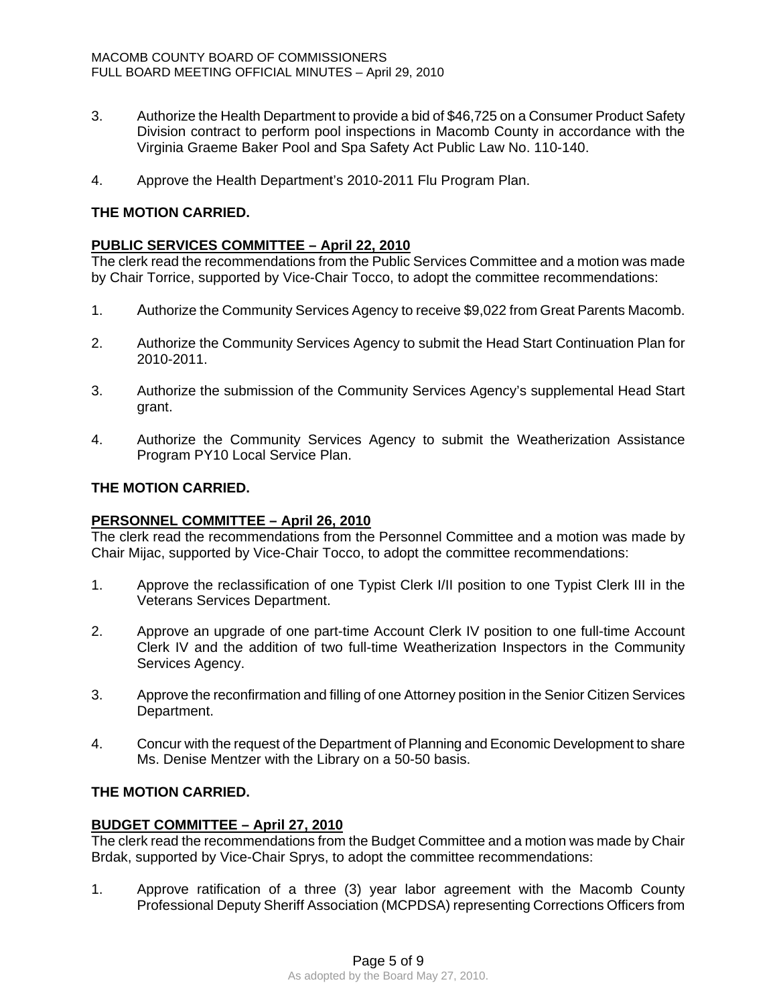- 3. Authorize the Health Department to provide a bid of \$46,725 on a Consumer Product Safety Division contract to perform pool inspections in Macomb County in accordance with the Virginia Graeme Baker Pool and Spa Safety Act Public Law No. 110-140.
- 4. Approve the Health Department's 2010-2011 Flu Program Plan.

# **THE MOTION CARRIED.**

# **PUBLIC SERVICES COMMITTEE – April 22, 2010**

The clerk read the recommendations from the Public Services Committee and a motion was made by Chair Torrice, supported by Vice-Chair Tocco, to adopt the committee recommendations:

- 1. Authorize the Community Services Agency to receive \$9,022 from Great Parents Macomb.
- 2. Authorize the Community Services Agency to submit the Head Start Continuation Plan for 2010-2011.
- 3. Authorize the submission of the Community Services Agency's supplemental Head Start grant.
- 4. Authorize the Community Services Agency to submit the Weatherization Assistance Program PY10 Local Service Plan.

# **THE MOTION CARRIED.**

# **PERSONNEL COMMITTEE – April 26, 2010**

The clerk read the recommendations from the Personnel Committee and a motion was made by Chair Mijac, supported by Vice-Chair Tocco, to adopt the committee recommendations:

- 1. Approve the reclassification of one Typist Clerk I/II position to one Typist Clerk III in the Veterans Services Department.
- 2. Approve an upgrade of one part-time Account Clerk IV position to one full-time Account Clerk IV and the addition of two full-time Weatherization Inspectors in the Community Services Agency.
- 3. Approve the reconfirmation and filling of one Attorney position in the Senior Citizen Services Department.
- 4. Concur with the request of the Department of Planning and Economic Development to share Ms. Denise Mentzer with the Library on a 50-50 basis.

# **THE MOTION CARRIED.**

# **BUDGET COMMITTEE – April 27, 2010**

The clerk read the recommendations from the Budget Committee and a motion was made by Chair Brdak, supported by Vice-Chair Sprys, to adopt the committee recommendations:

1. Approve ratification of a three (3) year labor agreement with the Macomb County Professional Deputy Sheriff Association (MCPDSA) representing Corrections Officers from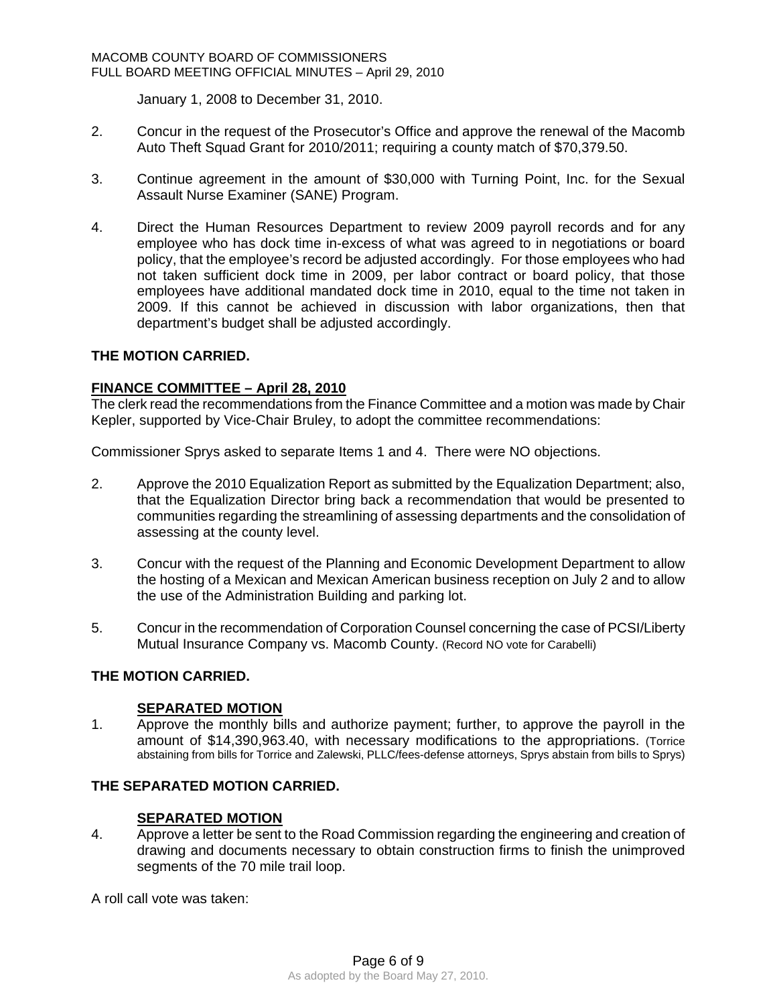January 1, 2008 to December 31, 2010.

- 2. Concur in the request of the Prosecutor's Office and approve the renewal of the Macomb Auto Theft Squad Grant for 2010/2011; requiring a county match of \$70,379.50.
- 3. Continue agreement in the amount of \$30,000 with Turning Point, Inc. for the Sexual Assault Nurse Examiner (SANE) Program.
- 4. Direct the Human Resources Department to review 2009 payroll records and for any employee who has dock time in-excess of what was agreed to in negotiations or board policy, that the employee's record be adjusted accordingly. For those employees who had not taken sufficient dock time in 2009, per labor contract or board policy, that those employees have additional mandated dock time in 2010, equal to the time not taken in 2009. If this cannot be achieved in discussion with labor organizations, then that department's budget shall be adjusted accordingly.

# **THE MOTION CARRIED.**

# **FINANCE COMMITTEE – April 28, 2010**

The clerk read the recommendations from the Finance Committee and a motion was made by Chair Kepler, supported by Vice-Chair Bruley, to adopt the committee recommendations:

Commissioner Sprys asked to separate Items 1 and 4. There were NO objections.

- 2. Approve the 2010 Equalization Report as submitted by the Equalization Department; also, that the Equalization Director bring back a recommendation that would be presented to communities regarding the streamlining of assessing departments and the consolidation of assessing at the county level.
- 3. Concur with the request of the Planning and Economic Development Department to allow the hosting of a Mexican and Mexican American business reception on July 2 and to allow the use of the Administration Building and parking lot.
- 5. Concur in the recommendation of Corporation Counsel concerning the case of PCSI/Liberty Mutual Insurance Company vs. Macomb County. (Record NO vote for Carabelli)

# **THE MOTION CARRIED.**

# **SEPARATED MOTION**

1. Approve the monthly bills and authorize payment; further, to approve the payroll in the amount of \$14,390,963.40, with necessary modifications to the appropriations. (Torrice abstaining from bills for Torrice and Zalewski, PLLC/fees-defense attorneys, Sprys abstain from bills to Sprys)

# **THE SEPARATED MOTION CARRIED.**

# **SEPARATED MOTION**

4. Approve a letter be sent to the Road Commission regarding the engineering and creation of drawing and documents necessary to obtain construction firms to finish the unimproved segments of the 70 mile trail loop.

A roll call vote was taken: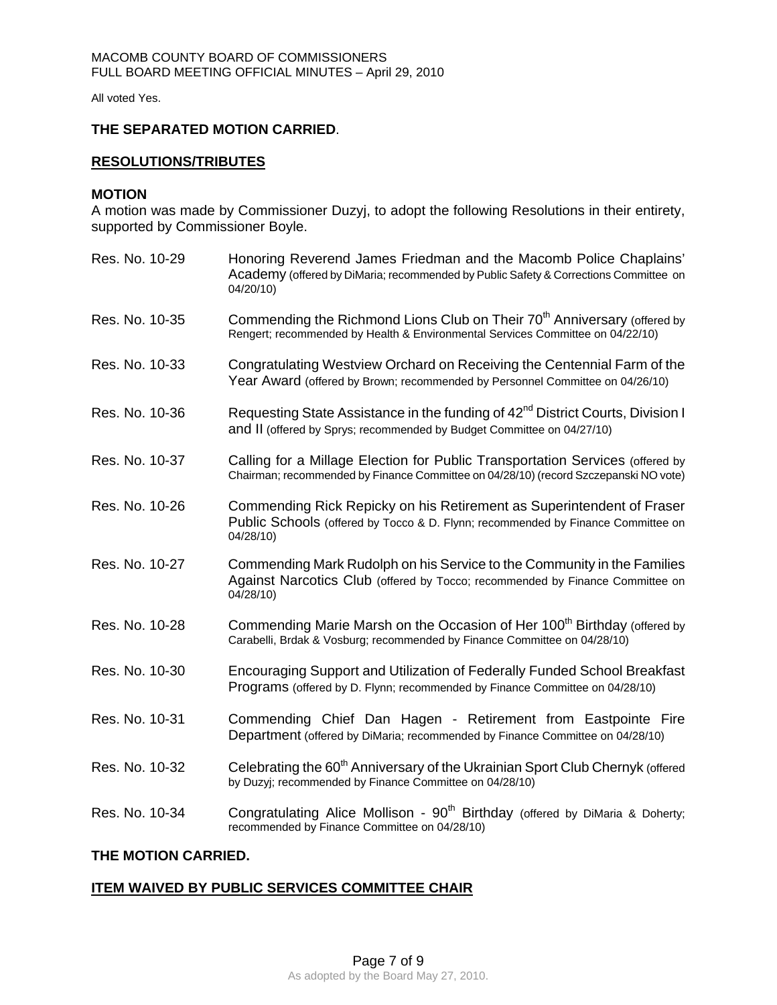All voted Yes.

## **THE SEPARATED MOTION CARRIED**.

## **RESOLUTIONS/TRIBUTES**

#### **MOTION**

A motion was made by Commissioner Duzyj, to adopt the following Resolutions in their entirety, supported by Commissioner Boyle.

Res. No. 10-29 Honoring Reverend James Friedman and the Macomb Police Chaplains' Academy (offered by DiMaria; recommended by Public Safety & Corrections Committee on 04/20/10) Res. No. 10-35 Commending the Richmond Lions Club on Their 70<sup>th</sup> Anniversary (offered by Rengert; recommended by Health & Environmental Services Committee on 04/22/10) Res. No. 10-33 Congratulating Westview Orchard on Receiving the Centennial Farm of the Year Award (offered by Brown; recommended by Personnel Committee on 04/26/10) Res. No. 10-36 Requesting State Assistance in the funding of 42<sup>nd</sup> District Courts, Division I and II (offered by Sprys; recommended by Budget Committee on 04/27/10) Res. No. 10-37 Calling for a Millage Election for Public Transportation Services (offered by Chairman; recommended by Finance Committee on 04/28/10) (record Szczepanski NO vote) Res. No. 10-26 Commending Rick Repicky on his Retirement as Superintendent of Fraser Public Schools (offered by Tocco & D. Flynn; recommended by Finance Committee on 04/28/10) Res. No. 10-27 Commending Mark Rudolph on his Service to the Community in the Families Against Narcotics Club (offered by Tocco; recommended by Finance Committee on 04/28/10) Res. No. 10-28 Commending Marie Marsh on the Occasion of Her 100<sup>th</sup> Birthday (offered by Carabelli, Brdak & Vosburg; recommended by Finance Committee on 04/28/10) Res. No. 10-30 Encouraging Support and Utilization of Federally Funded School Breakfast Programs (offered by D. Flynn; recommended by Finance Committee on 04/28/10) Res. No. 10-31 Commending Chief Dan Hagen - Retirement from Eastpointe Fire Department (offered by DiMaria; recommended by Finance Committee on 04/28/10) Res. No. 10-32 Celebrating the 60<sup>th</sup> Anniversary of the Ukrainian Sport Club Chernyk (offered by Duzyj; recommended by Finance Committee on 04/28/10) Res. No. 10-34 Congratulating Alice Mollison - 90<sup>th</sup> Birthday (offered by DiMaria & Doherty; recommended by Finance Committee on 04/28/10) **THE MOTION CARRIED.** 

# **ITEM WAIVED BY PUBLIC SERVICES COMMITTEE CHAIR**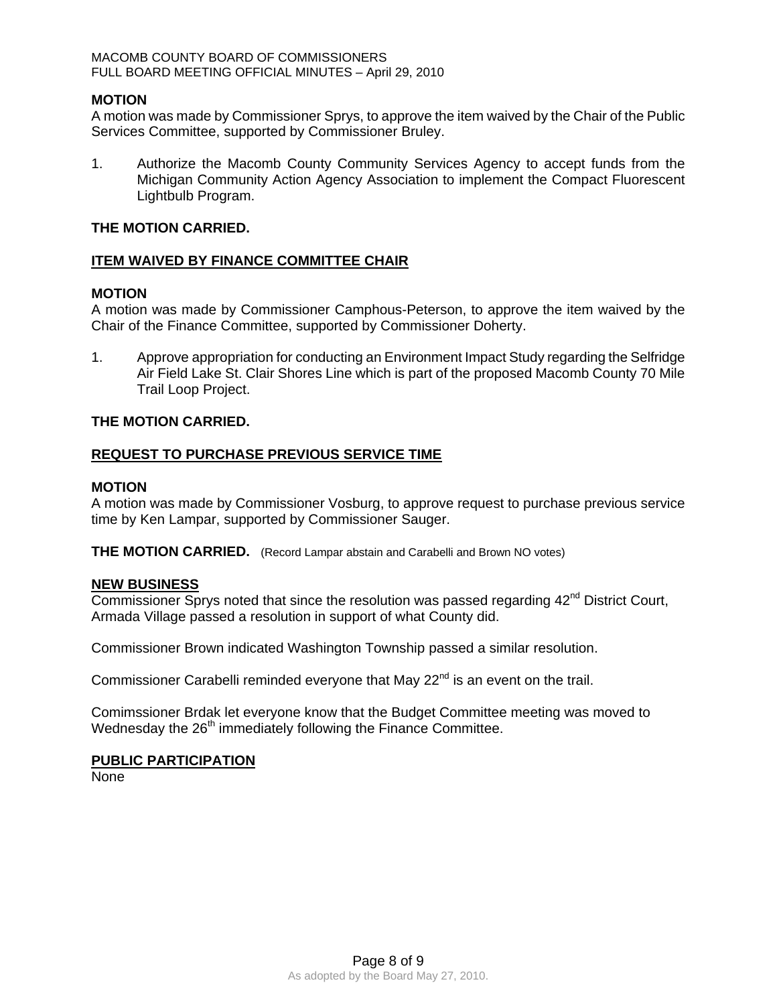## **MOTION**

A motion was made by Commissioner Sprys, to approve the item waived by the Chair of the Public Services Committee, supported by Commissioner Bruley.

1. Authorize the Macomb County Community Services Agency to accept funds from the Michigan Community Action Agency Association to implement the Compact Fluorescent Lightbulb Program.

## **THE MOTION CARRIED.**

# **ITEM WAIVED BY FINANCE COMMITTEE CHAIR**

# **MOTION**

A motion was made by Commissioner Camphous-Peterson, to approve the item waived by the Chair of the Finance Committee, supported by Commissioner Doherty.

1. Approve appropriation for conducting an Environment Impact Study regarding the Selfridge Air Field Lake St. Clair Shores Line which is part of the proposed Macomb County 70 Mile Trail Loop Project.

## **THE MOTION CARRIED.**

# **REQUEST TO PURCHASE PREVIOUS SERVICE TIME**

#### **MOTION**

A motion was made by Commissioner Vosburg, to approve request to purchase previous service time by Ken Lampar, supported by Commissioner Sauger.

**THE MOTION CARRIED.** (Record Lampar abstain and Carabelli and Brown NO votes)

#### **NEW BUSINESS**

Commissioner Sprys noted that since the resolution was passed regarding  $42<sup>nd</sup>$  District Court, Armada Village passed a resolution in support of what County did.

Commissioner Brown indicated Washington Township passed a similar resolution.

Commissioner Carabelli reminded everyone that May 22<sup>nd</sup> is an event on the trail.

Comimssioner Brdak let everyone know that the Budget Committee meeting was moved to Wednesday the 26<sup>th</sup> immediately following the Finance Committee.

## **PUBLIC PARTICIPATION**

**None**